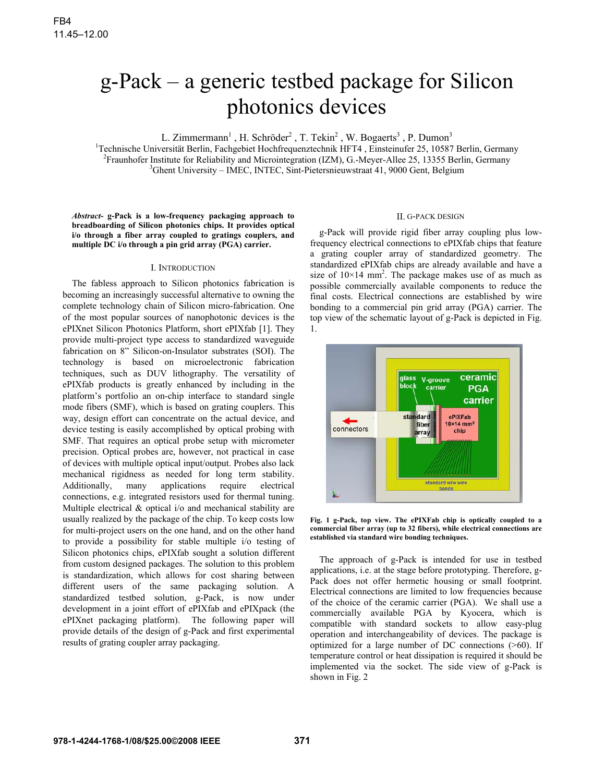# g-Pack – a generic testbed package for Silicon photonics devices

L. Zimmermann<sup>1</sup>, H. Schröder<sup>2</sup>, T. Tekin<sup>2</sup>, W. Bogaerts<sup>3</sup>, P. Dumon<sup>3</sup>

<sup>1</sup>Technische Universität Berlin, Fachgebiet Hochfrequenztechnik HFT4, Einsteinufer 25, 10587 Berlin, Germany <sup>2</sup> Fraunhofer Institute for Reliability and Microintegration (IZM), G.-Meyer-Allee 25, 13355 Berlin, Germany  $\frac{3}{2}$ Chent University MEG NTEG Sint Biotecniony street 41, 0000 Gent Belgium  ${}^{3}$ Ghent University – IMEC, INTEC, Sint-Pietersnieuwstraat 41, 9000 Gent, Belgium

*Abstract***- g-Pack is a low-frequency packaging approach to breadboarding of Silicon photonics chips. It provides optical i/o through a fiber array coupled to gratings couplers, and multiple DC i/o through a pin grid array (PGA) carrier.** 

#### I. INTRODUCTION

The fabless approach to Silicon photonics fabrication is becoming an increasingly successful alternative to owning the complete technology chain of Silicon micro-fabrication. One of the most popular sources of nanophotonic devices is the ePIXnet Silicon Photonics Platform, short ePIXfab [1]. They provide multi-project type access to standardized waveguide fabrication on 8" Silicon-on-Insulator substrates (SOI). The technology is based on microelectronic fabrication techniques, such as DUV lithography. The versatility of ePIXfab products is greatly enhanced by including in the platform's portfolio an on-chip interface to standard single mode fibers (SMF), which is based on grating couplers. This way, design effort can concentrate on the actual device, and device testing is easily accomplished by optical probing with SMF. That requires an optical probe setup with micrometer precision. Optical probes are, however, not practical in case of devices with multiple optical input/output. Probes also lack mechanical rigidness as needed for long term stability. Additionally, many applications require electrical connections, e.g. integrated resistors used for thermal tuning. Multiple electrical  $\&$  optical i/o and mechanical stability are usually realized by the package of the chip. To keep costs low for multi-project users on the one hand, and on the other hand to provide a possibility for stable multiple i/o testing of Silicon photonics chips, ePIXfab sought a solution different from custom designed packages. The solution to this problem is standardization, which allows for cost sharing between different users of the same packaging solution. A standardized testbed solution, g-Pack, is now under development in a joint effort of ePIXfab and ePIXpack (the ePIXnet packaging platform). The following paper will provide details of the design of g-Pack and first experimental results of grating coupler array packaging.

# II. G-PACK DESIGN

g-Pack will provide rigid fiber array coupling plus lowfrequency electrical connections to ePIXfab chips that feature a grating coupler array of standardized geometry. The standardized ePIXfab chips are already available and have a size of  $10 \times 14$  mm<sup>2</sup>. The package makes use of as much as possible commercially available components to reduce the final costs. Electrical connections are established by wire bonding to a commercial pin grid array (PGA) carrier. The top view of the schematic layout of g-Pack is depicted in Fig. 1.



**Fig. 1 g-Pack, top view. The ePIXFab chip is optically coupled to a commercial fiber array (up to 32 fibers), while electrical connections are established via standard wire bonding techniques.** 

The approach of g-Pack is intended for use in testbed applications, i.e. at the stage before prototyping. Therefore, g-Pack does not offer hermetic housing or small footprint. Electrical connections are limited to low frequencies because of the choice of the ceramic carrier (PGA). We shall use a commercially available PGA by Kyocera, which is compatible with standard sockets to allow easy-plug operation and interchangeability of devices. The package is optimized for a large number of DC connections (>60). If temperature control or heat dissipation is required it should be implemented via the socket. The side view of g-Pack is shown in Fig. 2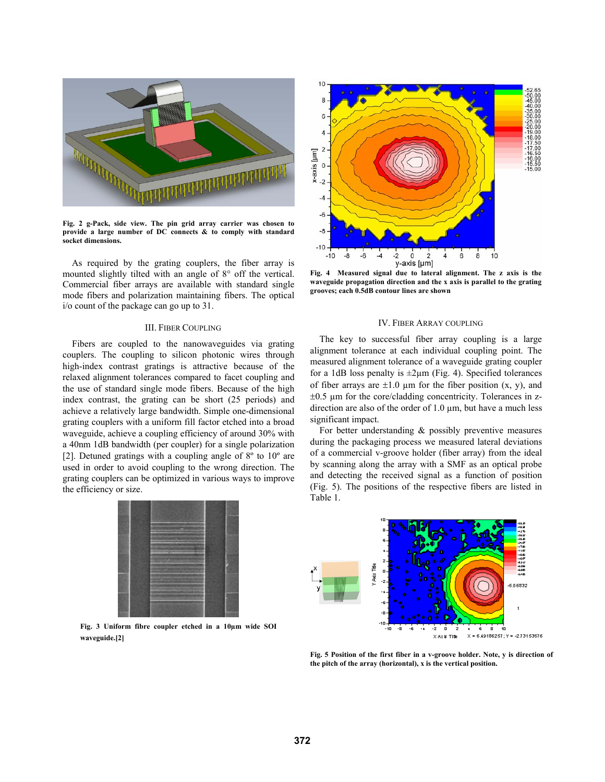

**Fig. 2 g-Pack, side view. The pin grid array carrier was chosen to provide a large number of DC connects & to comply with standard socket dimensions.** 

As required by the grating couplers, the fiber array is mounted slightly tilted with an angle of 8° off the vertical. Commercial fiber arrays are available with standard single mode fibers and polarization maintaining fibers. The optical i/o count of the package can go up to 31.

# III. FIBER COUPLING

Fibers are coupled to the nanowaveguides via grating couplers. The coupling to silicon photonic wires through high-index contrast gratings is attractive because of the relaxed alignment tolerances compared to facet coupling and the use of standard single mode fibers. Because of the high index contrast, the grating can be short (25 periods) and achieve a relatively large bandwidth. Simple one-dimensional grating couplers with a uniform fill factor etched into a broad waveguide, achieve a coupling efficiency of around 30% with a 40nm 1dB bandwidth (per coupler) for a single polarization [2]. Detuned gratings with a coupling angle of 8º to 10º are used in order to avoid coupling to the wrong direction. The grating couplers can be optimized in various ways to improve the efficiency or size.



**Fig. 3 Uniform fibre coupler etched in a 10µm wide SOI waveguide.[2]** 



**Fig. 4 Measured signal due to lateral alignment. The z axis is the waveguide propagation direction and the x axis is parallel to the grating grooves; each 0.5dB contour lines are shown** 

## IV. FIBER ARRAY COUPLING

The key to successful fiber array coupling is a large alignment tolerance at each individual coupling point. The measured alignment tolerance of a waveguide grating coupler for a 1dB loss penalty is  $\pm 2\mu$ m (Fig. 4). Specified tolerances of fiber arrays are  $\pm 1.0$  µm for the fiber position (x, y), and  $\pm 0.5$  µm for the core/cladding concentricity. Tolerances in zdirection are also of the order of  $1.0 \mu m$ , but have a much less significant impact.

For better understanding & possibly preventive measures during the packaging process we measured lateral deviations of a commercial v-groove holder (fiber array) from the ideal by scanning along the array with a SMF as an optical probe and detecting the received signal as a function of position (Fig. 5). The positions of the respective fibers are listed in Table 1.



**Fig. 5 Position of the first fiber in a v-groove holder. Note, y is direction of the pitch of the array (horizontal), x is the vertical position.**